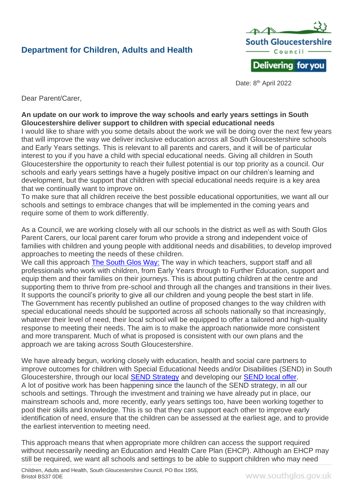# **Department for Children, Adults and Health**



Date: 8<sup>th</sup> April 2022

Dear Parent/Carer,

#### **An update on our work to improve the way schools and early years settings in South Gloucestershire deliver support to children with special educational needs**

I would like to share with you some details about the work we will be doing over the next few years that will improve the way we deliver inclusive education across all South Gloucestershire schools and Early Years settings. This is relevant to all parents and carers, and it will be of particular interest to you if you have a child with special educational needs. Giving all children in South Gloucestershire the opportunity to reach their fullest potential is our top priority as a council. Our schools and early years settings have a hugely positive impact on our children's learning and development, but the support that children with special educational needs require is a key area that we continually want to improve on.

To make sure that all children receive the best possible educational opportunities, we want all our schools and settings to embrace changes that will be implemented in the coming years and require some of them to work differently.

As a Council, we are working closely with all our schools in the district as well as with South Glos Parent Carers, our local parent carer forum who provide a strong and independent voice of families with children and young people with additional needs and disabilities, to develop improved approaches to meeting the needs of these children.

We call this approach [The South Glos Way:](http://sites.southglos.gov.uk/safeguarding/children/i-am-a-professional/the-south-glos-way-inclusion-toolkit/) The way in which teachers, support staff and all professionals who work with children, from Early Years through to Further Education, support and equip them and their families on their journeys. This is about putting children at the centre and supporting them to thrive from pre-school and through all the changes and transitions in their lives. It supports the council's priority to give all our children and young people the best start in life. The Government has recently published an outline of proposed changes to the way children with special educational needs should be supported across all schools nationally so that increasingly, whatever their level of need, their local school will be equipped to offer a tailored and high-quality response to meeting their needs. The aim is to make the approach nationwide more consistent and more transparent. Much of what is proposed is consistent with our own plans and the approach we are taking across South Gloucestershire.

We have already begun, working closely with education, health and social care partners to improve outcomes for children with Special Educational Needs and/or Disabilities (SEND) in South Gloucestershire, through our local **SEND Strategy** and developing our **SEND local offer.** A lot of positive work has been happening since the launch of the SEND strategy, in all our schools and settings. Through the investment and training we have already put in place, our mainstream schools and, more recently, early years settings too, have been working together to pool their skills and knowledge. This is so that they can support each other to improve early identification of need, ensure that the children can be assessed at the earliest age, and to provide the earliest intervention to meeting need.

This approach means that when appropriate more children can access the support required without necessarily needing an Education and Health Care Plan (EHCP). Although an EHCP may still be required, we want all schools and settings to be able to support children who may need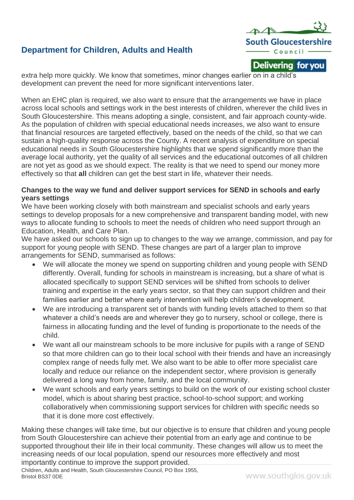# **Department for Children, Adults and Health**



extra help more quickly. We know that sometimes, minor changes earlier on in a child's development can prevent the need for more significant interventions later.

When an EHC plan is required, we also want to ensure that the arrangements we have in place across local schools and settings work in the best interests of children, wherever the child lives in South Gloucestershire. This means adopting a single, consistent, and fair approach county-wide. As the population of children with special educational needs increases, we also want to ensure that financial resources are targeted effectively, based on the needs of the child, so that we can sustain a high-quality response across the County. A recent analysis of expenditure on special educational needs in South Gloucestershire highlights that we spend significantly more than the average local authority, yet the quality of all services and the educational outcomes of all children are not yet as good as we should expect. The reality is that we need to spend our money more effectively so that **all** children can get the best start in life, whatever their needs.

#### **Changes to the way we fund and deliver support services for SEND in schools and early years settings**

We have been working closely with both mainstream and specialist schools and early years settings to develop proposals for a new comprehensive and transparent banding model, with new ways to allocate funding to schools to meet the needs of children who need support through an Education, Health, and Care Plan.

We have asked our schools to sign up to changes to the way we arrange, commission, and pay for support for young people with SEND. These changes are part of a larger plan to improve arrangements for SEND, summarised as follows:

- We will allocate the money we spend on supporting children and young people with SEND differently. Overall, funding for schools in mainstream is increasing, but a share of what is allocated specifically to support SEND services will be shifted from schools to deliver training and expertise in the early years sector, so that they can support children and their families earlier and better where early intervention will help children's development.
- We are introducing a transparent set of bands with funding levels attached to them so that whatever a child's needs are and wherever they go to nursery, school or college, there is fairness in allocating funding and the level of funding is proportionate to the needs of the child.
- We want all our mainstream schools to be more inclusive for pupils with a range of SEND so that more children can go to their local school with their friends and have an increasingly complex range of needs fully met. We also want to be able to offer more specialist care locally and reduce our reliance on the independent sector, where provision is generally delivered a long way from home, family, and the local community.
- We want schools and early years settings to build on the work of our existing school cluster model, which is about sharing best practice, school-to-school support; and working collaboratively when commissioning support services for children with specific needs so that it is done more cost effectively.

Making these changes will take time, but our objective is to ensure that children and young people from South Gloucestershire can achieve their potential from an early age and continue to be supported throughout their life in their local community. These changes will allow us to meet the increasing needs of our local population, spend our resources more effectively and most importantly continue to improve the support provided.